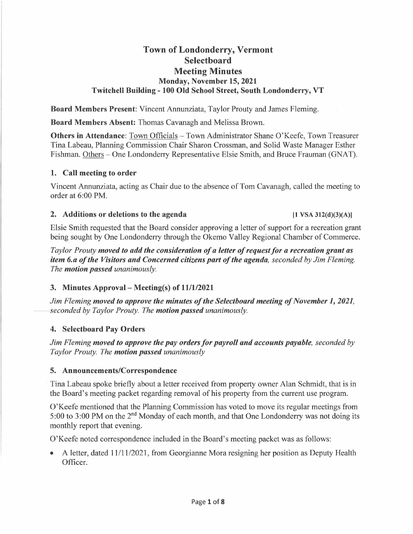# **Town of Londonderry, Vermont Selectboard Meeting Minutes Monday, November 15, 2021 Twitchell Building - 100 Old School Street, South Londonderry, VT**

**Board Members Present:** Vincent Annunziata, Taylor Prouty and James Fleming.

**Board Members Absent:** Thomas Cavanagh and Melissa Brown.

**Others in Attendance:** Town Officials - Town Administrator Shane O'Keefe, Town Treasurer Tina Labeau, Planning Commission Chair Sharon Crossman, and Solid Waste Manager Esther Fishman. Others - One Londonderry Representative Elsie Smith, and Bruce Frauman (GNAT).

### **1. Call meeting to order**

Vincent Annunziata, acting as Chair due to the absence of Tom Cavanagh, called the meeting to order at 6:00 PM.

#### 2. Additions or deletions to the agenda **11 VSA 312(d)(3)(A)**

Elsie Smith requested that the Board consider approving a letter of support for a recreation grant being sought by One Londonderry through the Okemo Valley Regional Chamber of Commerce.

*Taylor Prouty moved to add the consideration of a letter of request for a recreation grant as item 6.a of the Visitors and Concerned citizens part of the agenda, seconded by Jim Fleming. The motion passed unanimously.* 

# **3. Minutes Approval- Meeting(s) of 11/1/2021**

*Jim Fleming <i>moved to approve the minutes of the Selectboard meeting of November 1, 2021,***<br>***Jim Fleming <b>moved to approve the minutes of the Selectboard meeting of November 1, 2021,***<br>seconded by Taylor Prouty. The <b>motio** 

# **4. Selectboard Pay Orders**

*Jim Fleming moved to approve the pay orders for payroll and accounts payable, seconded by Taylor Prouty. The motion passed unanimously* 

#### **5. Announcements/Correspondence**

Tina Labeau spoke briefly about a letter received from property owner Alan Schmidt, that is in the Board's meeting packet regarding removal of his property from the current use program.

O'Keefe mentioned that the Planning Commission has voted to move its regular meetings from 5:00 to 3:00 PM on the 2<sup>nd</sup> Monday of each month, and that One Londonderry was not doing its monthly report that evening.

O'Keefe noted correspondence included in the Board's meeting packet was as follows:

• A letter, dated 11/11/2021, from Georgianne Mora resigning her position as Deputy Health Officer.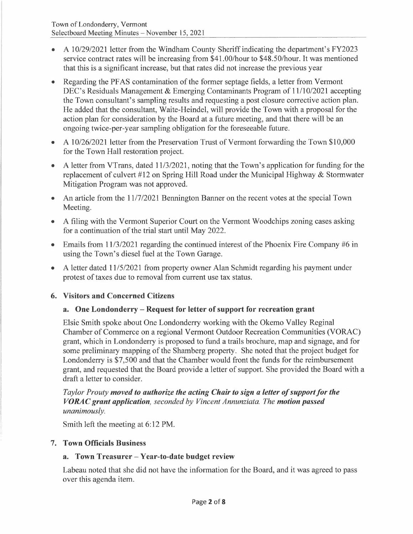- A 10/29/2021 letter from the Windham County Sheriff indicating the department's FY2023 service contract rates will be increasing from \$41.00/hour to \$48.50/hour. It was mentioned that this is a significant increase, but that rates did not increase the previous year
- Regarding the PF AS contamination of the former septage fields, a letter from Vermont DEC's Residuals Management & Emerging Contaminants Program of 11/10/2021 accepting the Town consultant's sampling results and requesting a post closure corrective action plan. He added that the consultant, Waite-Heindel, will provide the Town with a proposal for the action plan for consideration by the Board at a future meeting, and that there will be an ongoing twice-per-year sampling obligation for the foreseeable future.
- A 10/26/2021 letter from the Preservation Trust of Vermont forwarding the Town \$10,000 for the Town Hall restoration project.
- A letter from VTrans, dated 11/3/2021, noting that the Town's application for funding for the replacement of culvert  $#12$  on Spring Hill Road under the Municipal Highway & Stormwater Mitigation Program was not approved.
- An article from the  $11/7/2021$  Bennington Banner on the recent votes at the special Town Meeting.
- A filing with the Vermont Superior Court on the Vermont Woodchips zoning cases asking for a continuation of the trial start until May 2022.
- Emails from 11/3/2021 regarding the continued interest of the Phoenix Fire Company #6 in using the Town's diesel fuel at the Town Garage.
- A letter dated  $11/5/2021$  from property owner Alan Schmidt regarding his payment under protest of taxes due to removal from current use tax status.

# **6. Visitors and Concerned Citizens**

# **a. One Londonderry - Request for letter of support for recreation grant**

Elsie Smith spoke about One Londonderry working with the Okemo Valley Reginal Chamber of Commerce on a regional Vermont Outdoor Recreation Communities (VORAC) grant, which in Londonderry is proposed to fund a trails brochure, map and signage, and for some preliminary mapping of the Shamberg property. She noted that the project budget for Londonderry is \$7,500 and that the Chamber would front the funds for the reimbursement grant, and requested that the Board provide a letter of support. She provided the Board with a draft a letter to consider.

*Taylor Prouty moved to authorize the acting Chair to sign a letter of support for the VORAC grant application, seconded by Vincent Annunziata. The motion passed unanimously.* 

Smith left the meeting at 6:12 PM.

# **7. Town Officials Business**

# **a. Town Treasurer - Year-to-date budget review**

Labeau noted that she did not have the information for the Board, and it was agreed to pass over this agenda item.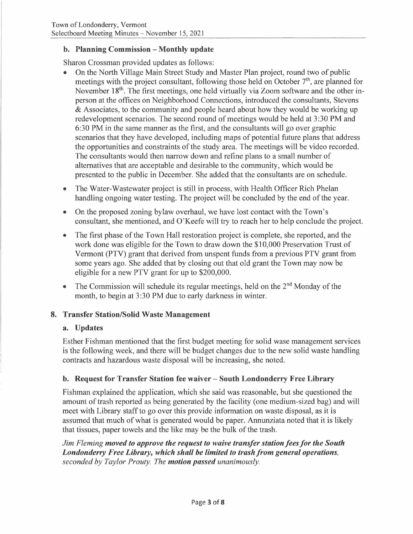### **b. Planning Commission - Monthly update**

Sharon Crossman provided updates as follows:

- On the North Village Main Street Study and Master Plan project, round two of public meetings with the project consultant, following those held on October 7<sup>th</sup>, are planned for November 18<sup>th</sup>. The first meetings, one held virtually via Zoom software and the other inperson at the offices on Neighborhood Connections, introduced the consultants, Stevens & Associates, to the community and people heard about how they would be working up redevelopment scenarios. The second round of meetings would be held at 3 :30 PM and 6:30 PM in the same manner as the first, and the consultants will go over graphic scenarios that they have developed, including maps of potential future plans that address the opportunities and constraints of the study area. The meetings will be video recorded. The consultants would then narrow down and refine plans to a small number of alternatives that are acceptable and desirable to the community, which would be presented to the public in December. She added that the consultants are on schedule.
- The Water-Wastewater project is still in process, with Health Officer Rich Phelan handling ongoing water testing. The project will be concluded by the end of the year.
- On the proposed zoning bylaw overhaul, we have lost contact with the Town's consultant, she mentioned, and O'Keefe will try to reach her to help conclude the project.
- The first phase of the Town Hall restoration project is complete, she reported, and the work done was eligible for the Town to draw down the \$10,000 Preservation Trust of Vermont (PTV) grant that derived from unspent funds from a previous PTV grant from some years ago. She added that by closing out that old grant the Town may now be eligible for a new PTV grant for up to \$200,000.
- The Commission will schedule its regular meetings, held on the  $2<sup>nd</sup>$  Monday of the month, to begin at 3:30 PM due to early darkness in winter.

# **8. Transfer Station/Solid Waste Management**

#### **a. Updates**

Esther Fishman mentioned that the first budget meeting for solid wase management services is the following week, and there will be budget changes due to the new solid waste handling contracts and hazardous waste disposal will be increasing, she noted.

# **b. Request for Transfer Station fee waiver - South Londonderry Free Library**

Fishman explained the application, which she said was reasonable, but she questioned the amount of trash reported as being generated by the facility (one medium-sized bag) and will meet with Library staff to go over this provide information on waste disposal, as it is assumed that much of what is generated would be paper. Annunziata noted that it is likely that tissues, paper towels and the like may be the bulk of the trash.

*Jim Fleming moved to approve the request to waive transfer station fees for the South Londonderry Free Library, which shall he limited to trash from general operations, seconded by Taylor Prouty. The motion passed unanimously.*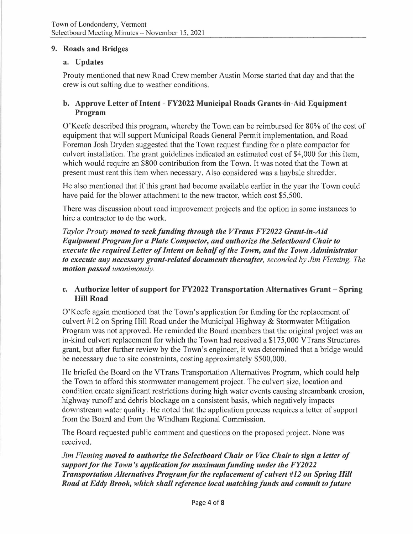#### **9. Roads and Bridges**

### **a. Updates**

Prouty mentioned that new Road Crew member Austin Morse started that day and that the crew is out salting due to weather conditions.

### **b. Approve Letter of Intent - FY2022 Municipal Roads Grants-in-Aid Equipment Program**

O'Keefe described this program, whereby the Town can be reimbursed for 80% of the cost of equipment that will support Municipal Roads General Permit implementation, and Road Foreman Josh Dryden suggested that the Town request funding for a plate compactor for culvert installation. The grant guidelines indicated an estimated cost of \$4,000 for this item, which would require an \$800 contribution from the Town. It was noted that the Town at present must rent this item when necessary. Also considered was a haybale shredder.

He also mentioned that if this grant had become available earlier in the year the Town could have paid for the blower attachment to the new tractor, which cost \$5,500.

There was discussion about road improvement projects and the option in some instances to hire a contractor to do the work.

*Taylor Prouty moved to seek funding through the VTrans FY2022 Grant-in-Aid Equipment Program/or a Plate Compactor, and authorize the Selectboard Chair to execute the required Letter of Intent on behalf of the Town, and the Town Administrator to execute any necessary grant-related documents thereafter, seconded by Jim Fleming. The motion passed unanimously.* 

### **c. Authorize letter of support for FY2022 Transportation Alternatives Grant - Spring Hill Road**

O'Keefe again mentioned that the Town's application for funding for the replacement of culvert #12 on Spring Hill Road under the Municipal Highway & Stormwater Mitigation Program was not approved. He reminded the Board members that the original project was an in-kind culvert replacement for which the Town had received a \$175,000 VTrans Structures grant, but after further review by the Town's engineer, it was determined that a bridge would be necessary due to site constraints, costing approximately \$500,000.

He briefed the Board on the VTrans Transportation Alternatives Program, which could help the Town to afford this stormwater management project. The culvert size, location and condition create significant restrictions during high water events causing streambank erosion, highway runoff and debris blockage on a consistent basis, which negatively impacts downstream water quality. He noted that the application process requires a letter of support from the Board and from the Windham Regional Commission.

The Board requested public comment and questions on the proposed project. None was received.

*Jim Fleming moved to authorize the Selectboard Chair or Vice Chair to sign a letter of support for the Town's application for maximum funding under the FY2022 Transportation Alternatives Program for the replacement of culvert* #12 on Spring Hill *Road at Eddy Brook, which shall reference local matching funds and commit to future*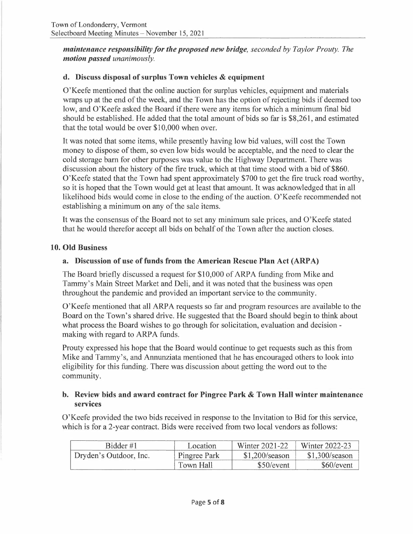*maintenance responsibility for the proposed new bridge, seconded by Taylor Prouty. The motion passed unanimously.* 

# **d. Discuss disposal of surplus Town vehicles & equipment**

O'Keefe mentioned that the online auction for surplus vehicles, equipment and materials wraps up at the end of the week, and the Town has the option ofrejecting bids if deemed too low, and O'Keefe asked the Board if there were any items for which a minimum final bid should be established. He added that the total amount of bids so far is \$8,261, and estimated that the total would be over \$10,000 when over.

It was noted that some items, while presently having low bid values, will cost the Town money to dispose of them, so even low bids would be acceptable, and the need to clear the cold storage barn for other purposes was value to the Highway Department. There was discussion about the history of the fire truck, which at that time stood with a bid of \$860. O'Keefe stated that the Town had spent approximately \$700 to get the fire truck road worthy, so it is hoped that the Town would get at least that amount. It was acknowledged that in all likelihood bids would come in close to the ending of the auction. O'Keefe recommended not establishing a minimum on any of the sale items.

It was the consensus of the Board not to set any minimum sale prices, and O'Keefe stated that he would therefor accept all bids on behalf of the Town after the auction closes.

# **10. Old Business**

# **a. Discussion of use of funds from the American Rescue Plan Act (ARP A)**

The Board briefly discussed a request for \$10,000 of ARPA funding from Mike and Tammy's Main Street Market and Deli, and it was noted that the business was open throughout the pandemic and provided an important service to the community.

O'Keefe mentioned that all ARP A requests so far and program resources are available to the Board on the Town's shared drive. He suggested that the Board should begin to think about what process the Board wishes to go through for solicitation, evaluation and decision making with regard to ARPA funds.

Prouty expressed his hope that the Board would continue to get requests such as this from Mike and Tammy's, and Annunziata mentioned that he has encouraged others to look into eligibility for this funding. There was discussion about getting the word out to the community.

# **b. Review bids and award contract for Pingree Park & Town Hall winter maintenance services**

O'Keefe provided the two bids received in response to the Invitation to Bid for this service, which is for a 2-year contract. Bids were received from two local vendors as follows:

| Bidder #1              | Location     | Winter 2021-22   | Winter 2022-23   |
|------------------------|--------------|------------------|------------------|
| Dryden's Outdoor, Inc. | Pingree Park | $$1,200$ /season | $$1,300$ /season |
|                        | Town Hall    | \$50/event       | \$60/event       |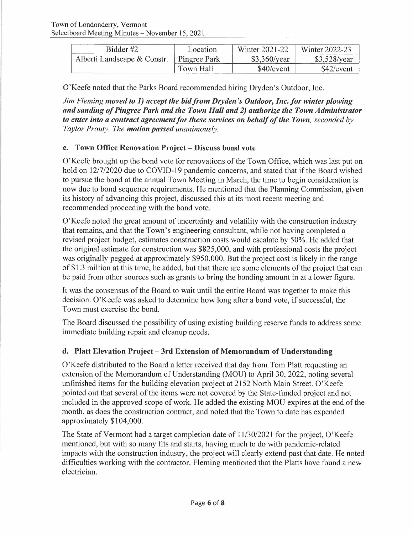| Bidder #2                   | Location     | Winter 2021-22 | Winter 2022-23       |
|-----------------------------|--------------|----------------|----------------------|
| Alberti Landscape & Constr. | Pingree Park | \$3,360/year   | $$3,528/\text{year}$ |
|                             | Town Hall    | \$40/event     | \$42/event           |

O'Keefe noted that the Parks Board recommended hiring Dryden's Outdoor, Inc.

*Jim Fleming moved to 1) accept the bid from Dryden's Outdoor, Inc. for winter plowing and sanding of Pingree Park and the Town Hall and 2) authorize the Town Administrator to enter into a contract agreement for these services on behalf of the Town, seconded by Taylor Prouty. The motion passed unanimously.* 

# **c. Town Office Renovation Project - Discuss bond vote**

O'Keefe brought up the bond vote for renovations of the Town Office, which was last put on hold on 12/7/2020 due to COVID-19 pandemic concerns, and stated that if the Board wished to pursue the bond at the annual Town Meeting in March, the time to begin consideration is now due to bond sequence requirements. He mentioned that the Planning Commission, given its history of advancing this project, discussed this at its most recent meeting and recommended proceeding with the bond vote.

O'Keefe noted the great amount of uncertainty and volatility with the construction industry that remains, and that the Town's engineering consultant, while not having completed a revised project budget, estimates construction costs would escalate by 50%. He added that the original estimate for construction was \$825,000, and with professional costs the project was originally pegged at approximately \$950,000. But the project cost is likely in the range of \$1.3 million at this time, he added, but that there are some elements of the project that can be paid from other sources such as grants to bring the bonding amount in at a lower figure.

It was the consensus of the Board to wait until the entire Board was together to make this decision. O'Keefe was asked to determine how long after a bond vote, if successful, the Town must exercise the bond.

The Board discussed the possibility of using existing building reserve funds to address some immediate building repair and cleanup needs.

# **d. Platt Elevation Project - 3rd Extension of Memorandum of Understanding**

O'Keefe distributed to the Board a letter received that day from Tom Platt requesting an extension of the Memorandum of Understanding (MOU) to April 30, 2022, noting several unfinished items for the building elevation project at 2152 North Main Street. O'Keefe pointed out that several of the items were not covered by the State-funded project and not included in the approved scope of work. He added the existing MOU expires at the end of the month, as does the construction contract, and noted that the Town to date has expended approximately \$104,000.

The State of Vermont had a target completion date of 11/30/2021 for the project, O'Keefe mentioned, but with so many fits and starts, having much to do with pandemic-related impacts with the construction industry, the project will clearly extend past that date. He noted difficulties working with the contractor. Fleming mentioned that the Platts have found a new electrician.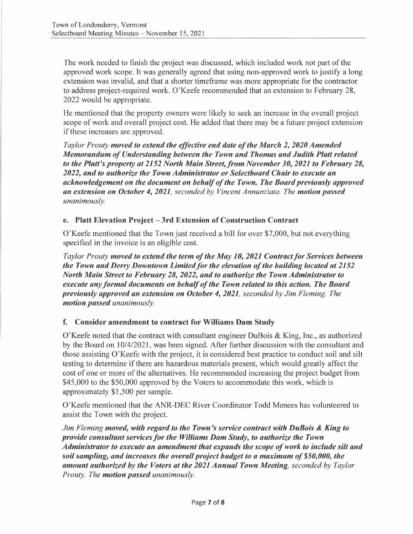The work needed to finish the project was discussed, which included work not part of the approved work scope. It was generally agreed that using non-approved work to justify a long extension was invalid, and that a shorter timeframe was more appropriate for the contractor to address project-required work. O'Keefe recommended that an extension to February 28, 2022 would be appropriate.

He mentioned that the property owners were likely to seek an increase in the overall project scope of work and overall project cost. He added that there may be a future project extension if these increases are approved.

*Taylor Prouty moved to extend the effective end date of the March 2, 2020 Amended Memorandum of Understanding between the Town and Thomas and Judith Platt related*  to the Platt's property at 2152 North Main Street, from November 30, 2021 to February 28, *2022, and to authorize the Town Administrator or Selectboard Chair to execute an acknowledgement on the document on behalf of the Town. The Board previously approved an extension on October 4, 2021, seconded by Vincent Annunziata. The motion passed unanimously.* 

# **e. Platt Elevation Project - 3rd Extension of Construction Contract**

O'Keefe mentioned that the Town just received a bill for over \$7,000, but not everything specified in the invoice is an eligible cost.

*Taylor Prouty <i>moved to extend the term of the May 10, 2021 Contract for Services between**Taylor Prouty <b><i>moved to extend the term of the May 10, 2021 Contract for Services between the Town and Derry Downtown Limited/or the elevation of the building located at 2152 North Main Street to February 28, 2022, and to authorize the Town Administrator to execute any formal documents on behalf of the Town related to this action. The Board previously approved an extension on October 4, 2021, seconded by Jim Fleming. The motion passed unanimously.* 

# **f. Consider amendment to contract for Williams Dam Study**

O'Keefe noted that the contract with consultant engineer DuBois & King, Inc., as authorized by the Board on 10/4/2021, was been signed. After further discussion with the consultant and those assisting O'Keefe with the project, it is considered best practice to conduct soil and silt testing to determine if there are hazardous materials present, which would greatly affect the cost of one or more of the alternatives. He recommended increasing the project budget from \$45,000 to the \$50,000 approved by the Voters to accommodate this work, which is approximately \$1,500 per sample.

O'Keefe mentioned that the ANR-DEC River Coordinator Todd Menees has volunteered to assist the Town with the project.

*Jim Fleming moved, with regard to the Town's service contract with DuBois* & *King to provide consultant services for the Williams Dam Study, to authorize the Town Administrator to execute an amendment that expands the scope of work to include silt and soil sampling, and increases the overall project budget to a maximum of \$50,000, the amount authorized by the Voters at the 2021 Annual Town Meeting, seconded by Taylor Prouty. The motion passed unanimously.*